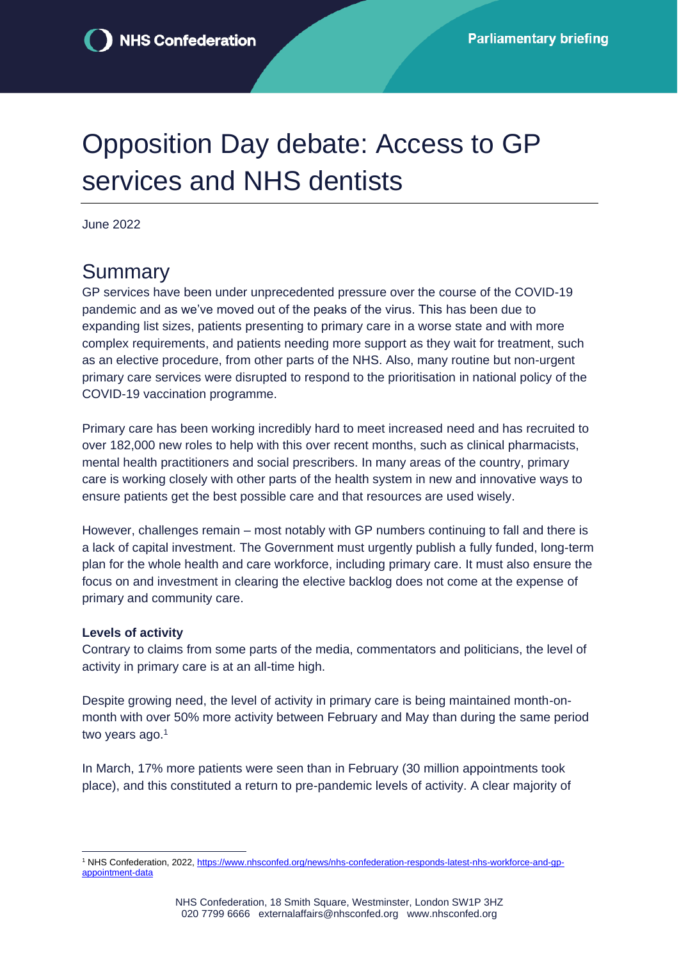# Opposition Day debate: Access to GP services and NHS dentists

June 2022

### **Summary**

GP services have been under unprecedented pressure over the course of the COVID-19 pandemic and as we've moved out of the peaks of the virus. This has been due to expanding list sizes, patients presenting to primary care in a worse state and with more complex requirements, and patients needing more support as they wait for treatment, such as an elective procedure, from other parts of the NHS. Also, many routine but non-urgent primary care services were disrupted to respond to the prioritisation in national policy of the COVID-19 vaccination programme.

Primary care has been working incredibly hard to meet increased need and has recruited to over 182,000 new roles to help with this over recent months, such as clinical pharmacists, mental health practitioners and social prescribers. In many areas of the country, primary care is working closely with other parts of the health system in new and innovative ways to ensure patients get the best possible care and that resources are used wisely.

However, challenges remain – most notably with GP numbers continuing to fall and there is a lack of capital investment. The Government must urgently publish a fully funded, long-term plan for the whole health and care workforce, including primary care. It must also ensure the focus on and investment in clearing the elective backlog does not come at the expense of primary and community care.

#### **Levels of activity**

Contrary to claims from some parts of the media, commentators and politicians, the level of activity in primary care is at an all-time high.

Despite growing need, the level of activity in primary care is being maintained month-onmonth with over 50% more activity between February and May than during the same period two years ago.<sup>1</sup>

In March, 17% more patients were seen than in February (30 million appointments took place), and this constituted a return to pre-pandemic levels of activity. A clear majority of

<sup>1</sup> NHS Confederation, 2022, [https://www.nhsconfed.org/news/nhs-confederation-responds-latest-nhs-workforce-and-gp](https://www.nhsconfed.org/news/nhs-confederation-responds-latest-nhs-workforce-and-gp-appointment-data)[appointment-data](https://www.nhsconfed.org/news/nhs-confederation-responds-latest-nhs-workforce-and-gp-appointment-data)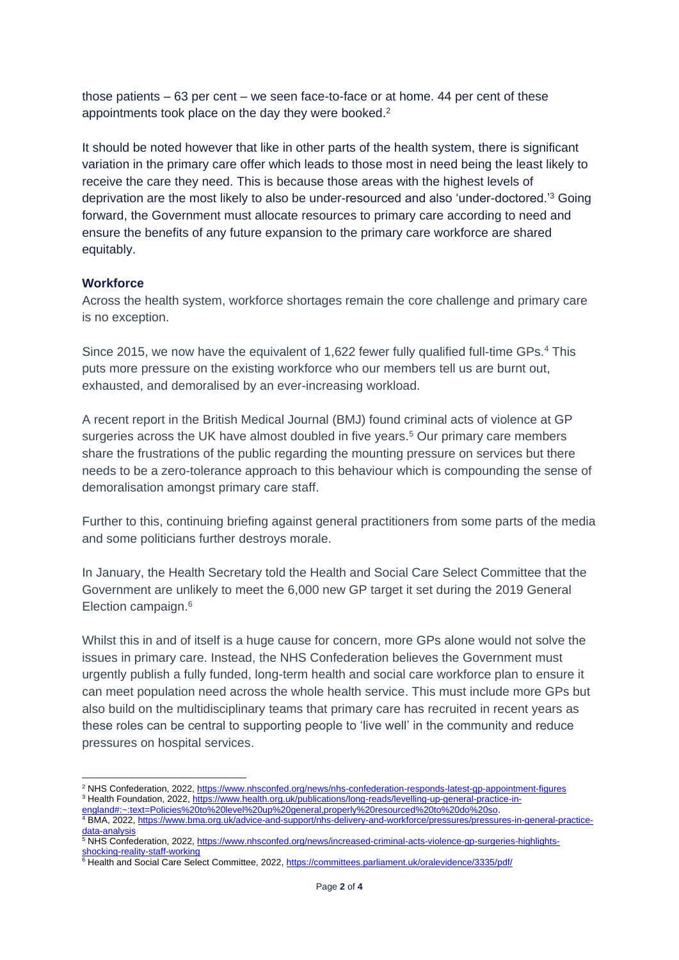those patients – 63 per cent – we seen face-to-face or at home. 44 per cent of these appointments took place on the day they were booked.<sup>2</sup>

It should be noted however that like in other parts of the health system, there is significant variation in the primary care offer which leads to those most in need being the least likely to receive the care they need. This is because those areas with the highest levels of deprivation are the most likely to also be under-resourced and also 'under-doctored.'<sup>3</sup> Going forward, the Government must allocate resources to primary care according to need and ensure the benefits of any future expansion to the primary care workforce are shared equitably.

#### **Workforce**

Across the health system, workforce shortages remain the core challenge and primary care is no exception.

Since 2015, we now have the equivalent of 1,622 fewer fully qualified full-time GPs.<sup>4</sup> This puts more pressure on the existing workforce who our members tell us are burnt out, exhausted, and demoralised by an ever-increasing workload.

A recent report in the British Medical Journal (BMJ) found criminal acts of violence at GP surgeries across the UK have almost doubled in five years.<sup>5</sup> Our primary care members share the frustrations of the public regarding the mounting pressure on services but there needs to be a zero-tolerance approach to this behaviour which is compounding the sense of demoralisation amongst primary care staff.

Further to this, continuing briefing against general practitioners from some parts of the media and some politicians further destroys morale.

In January, the Health Secretary told the Health and Social Care Select Committee that the Government are unlikely to meet the 6,000 new GP target it set during the 2019 General Election campaign.<sup>6</sup>

Whilst this in and of itself is a huge cause for concern, more GPs alone would not solve the issues in primary care. Instead, the NHS Confederation believes the Government must urgently publish a fully funded, long-term health and social care workforce plan to ensure it can meet population need across the whole health service. This must include more GPs but also build on the multidisciplinary teams that primary care has recruited in recent years as these roles can be central to supporting people to 'live well' in the community and reduce pressures on hospital services.

<sup>&</sup>lt;sup>2</sup> NHS Confederation, 2022,<https://www.nhsconfed.org/news/nhs-confederation-responds-latest-gp-appointment-figures> <sup>3</sup> Health Foundation, 2022, [https://www.health.org.uk/publications/long-reads/levelling-up-general-practice-in](https://www.health.org.uk/publications/long-reads/levelling-up-general-practice-in-england#:~:text=Policies%20to%20level%20up%20general,properly%20resourced%20to%20do%20so)[england#:~:text=Policies%20to%20level%20up%20general,properly%20resourced%20to%20do%20so.](https://www.health.org.uk/publications/long-reads/levelling-up-general-practice-in-england#:~:text=Policies%20to%20level%20up%20general,properly%20resourced%20to%20do%20so) 

<sup>4</sup> BMA, 2022, [https://www.bma.org.uk/advice-and-support/nhs-delivery-and-workforce/pressures/pressures-in-general-practice](https://www.bma.org.uk/advice-and-support/nhs-delivery-and-workforce/pressures/pressures-in-general-practice-data-analysis)[data-analysis](https://www.bma.org.uk/advice-and-support/nhs-delivery-and-workforce/pressures/pressures-in-general-practice-data-analysis)

gata-analysis<br><sup>5</sup> NHS Confederation, 2022, <u>https://www.nhsconfed.org/news/increased-criminal-acts-violence-gp-surgeries-highlights-</u> [shocking-reality-staff-working](https://www.nhsconfed.org/news/increased-criminal-acts-violence-gp-surgeries-highlights-shocking-reality-staff-working)

<sup>6</sup> Health and Social Care Select Committee, 2022,<https://committees.parliament.uk/oralevidence/3335/pdf/>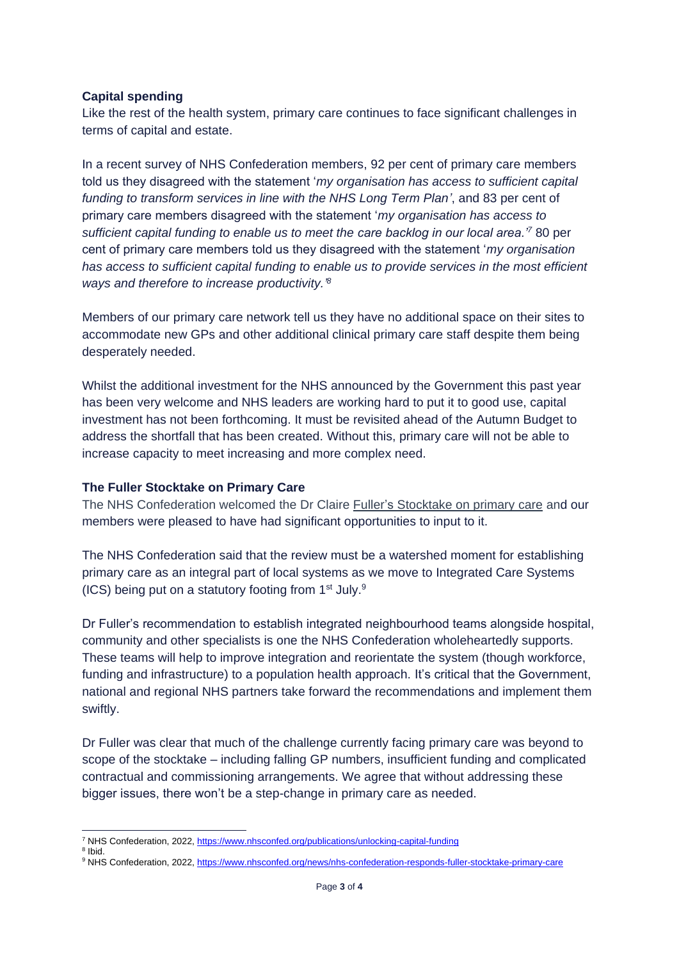#### **Capital spending**

Like the rest of the health system, primary care continues to face significant challenges in terms of capital and estate.

In a recent survey of NHS Confederation members, 92 per cent of primary care members told us they disagreed with the statement '*my organisation has access to sufficient capital funding to transform services in line with the NHS Long Term Plan'*, and 83 per cent of primary care members disagreed with the statement '*my organisation has access to sufficient capital funding to enable us to meet the care backlog in our local area.'<sup>7</sup>* 80 per cent of primary care members told us they disagreed with the statement '*my organisation has access to sufficient capital funding to enable us to provide services in the most efficient ways and therefore to increase productivity.' 8*

Members of our primary care network tell us they have no additional space on their sites to accommodate new GPs and other additional clinical primary care staff despite them being desperately needed.

Whilst the additional investment for the NHS announced by the Government this past year has been very welcome and NHS leaders are working hard to put it to good use, capital investment has not been forthcoming. It must be revisited ahead of the Autumn Budget to address the shortfall that has been created. Without this, primary care will not be able to increase capacity to meet increasing and more complex need.

#### **The Fuller Stocktake on Primary Care**

The NHS Confederation welcomed the Dr Claire Fuller's [Stocktake on primary care](https://www.england.nhs.uk/publication/next-steps-for-integrating-primary-care-fuller-stocktake-report/) and our members were pleased to have had significant opportunities to input to it.

The NHS Confederation said that the review must be a watershed moment for establishing primary care as an integral part of local systems as we move to Integrated Care Systems (ICS) being put on a statutory footing from  $1<sup>st</sup>$  July.<sup>9</sup>

Dr Fuller's recommendation to establish integrated neighbourhood teams alongside hospital, community and other specialists is one the NHS Confederation wholeheartedly supports. These teams will help to improve integration and reorientate the system (though workforce, funding and infrastructure) to a population health approach. It's critical that the Government, national and regional NHS partners take forward the recommendations and implement them swiftly.

Dr Fuller was clear that much of the challenge currently facing primary care was beyond to scope of the stocktake – including falling GP numbers, insufficient funding and complicated contractual and commissioning arrangements. We agree that without addressing these bigger issues, there won't be a step-change in primary care as needed.

<sup>&</sup>lt;sup>7</sup> NHS Confederation, 2022,<https://www.nhsconfed.org/publications/unlocking-capital-funding>

<sup>8</sup> Ibid.

<sup>9</sup> NHS Confederation, 2022,<https://www.nhsconfed.org/news/nhs-confederation-responds-fuller-stocktake-primary-care>